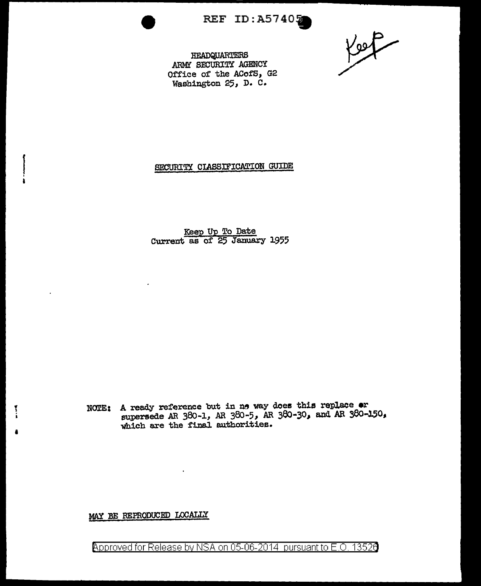REF ID: A57405

Koop

HEADQUARTERS ARMY SECURITY AGENCY Office of the ACofS, G2 Washington 25, D. C.

#### SECURITY CLASSIFICATION GUIDE

Keep Up To Date Current as of 25 January 1955

NOTE: A ready reference but in no way does this replace or supersede AR 380-1, AR 380-5, AR 380-30, and AR 380-150, which are the final authorities.

### MAY BE REPRODUCED LOCALIX

 $\ddot{\phantom{0}}$ 

Approved for Release by NSA on 05-06-2014 pursuant to E.O. 13526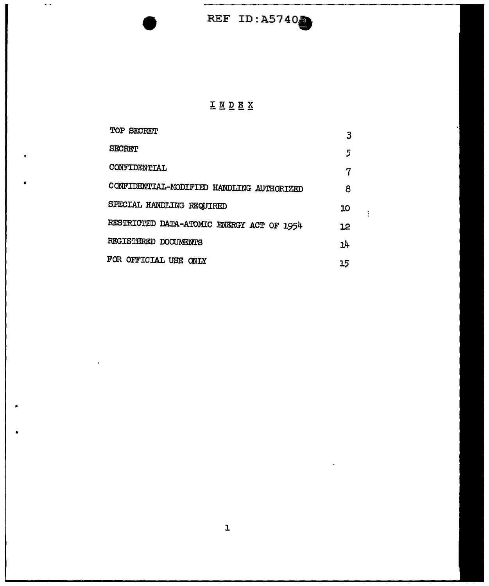## INDEX

| <b>TOP SECRET</b>                         | 3  |  |
|-------------------------------------------|----|--|
| <b>SECRET</b>                             | 5  |  |
| CONFIDENTIAL                              | 7  |  |
| CONFIDENTIAL-MODIFIED HANDLING AUTHORIZED | 8  |  |
| SPECIAL HANDLING REQUIRED                 | ıо |  |
| RESTRICTED DATA-ATOMIC ENERGY ACT OF 1954 | 12 |  |
| REGISTERED DOCUMENTS                      | 14 |  |
| FOR OFFICIAL USE ONLY                     | 15 |  |

•

 $\omega$  .

•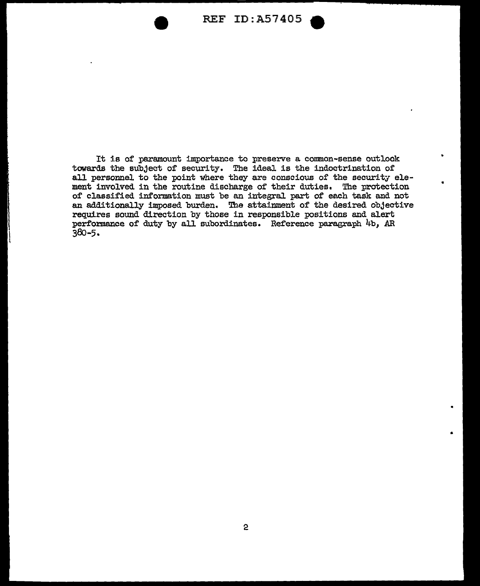

It is of paramount importance to preserve a common-sense outlook towards the subject of security. The ideal is the indoctrination of all personnel to the point where they are conscious of the security element involved in the routine discharge of their duties. The protection of classified information must be an integral part of each task and not an additionally imposed burden. The attainment of the desired objective requires sound direction by those in responsible positions and alert performance of duty by all subordinates. Reference paragraph 4b, AR 38o-5.

•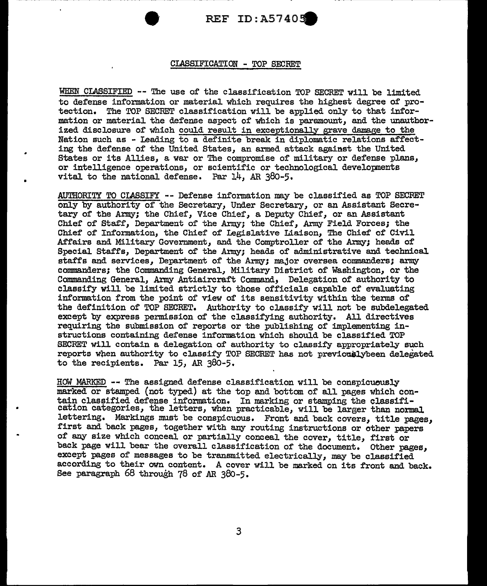#### CIASSIFICATION - TOP SECRET

WHEN CLASSIFIED -- The use of the classification TOP SECRET will be limited to defense information or material which requires the highest degree of protection. The TOP SECRET classification will be applied only to that information or material the defense aspect of which is paramount, and the unauthorized disclosure of which could result in exceptionally grave damage to the Nation such as - Leading to a definite break in diplomatic relations affecting the defense of the United States, an armed attack against the United States or its Allies, a war or The compromise of military or defense plans, or intelligence operations, or scientific or technological developments vital to the national defense. Par 14, AR 380-5.

AUTHORITY TO CLASSIFY -- Defense information may be classified as TOP SECRET only by authority oi' the Secretary, Under Secretary, or an Assistant Secretary of the Army; the Chief, Vice Chief, a Deputy Chief, or an Assistant Chief of Staff, Department of the Army; the Chief, Army Field Forces; the Chief of Information, the Chief of Legislative Liaison, The Chief of Civil Affairs and Military Government, and the Comptroller of the Army; heads of Special Staffs, Department of the Army; heads of administrative and technical staffs and services, Department of the Army; major oversea commanders; army commanders; the Commanding General, Military District of Washington, or the Commanding General, Army Antiaircraft Command, Delegation of authority to classify will be limited strictly to those officials capable of evaluating information from the point of view of its sensitivity within the terms of the definition of TOP SECRET. Authority to classify will not be subdelegated except by express permission of the classifying authority. All directives requiring the submission of reports or the publishing of implementing instructions containing defense information Which should be classified TOP SECRET will contain a delegation of authority to classify appropriately such reports when authority to classify TOP SECRET has not previouslybeen delegated to the recipients. Par 15, AR 380-5.

HOW MARKED -- The assigned defense classification will be conspicuously marked or stamped (not typed) at the top and bottom of all pages which contain classified defense information. In marking or stamping the classification categories, the letters, when practicable, will be larger than normal lettering. Markings must be conspicuous. Front and back covers, title pages, first and back pages, together with any routing instructions or other papers of any size which conceal or partially conceal the cover, title, first or back page will bear the overall classification of the document. other pages, except pages of messages to be transmitted electrically, may be classified according to their own content. A cover will be marked on its front and back. See paragraph 68 through 78 of AR 380-5.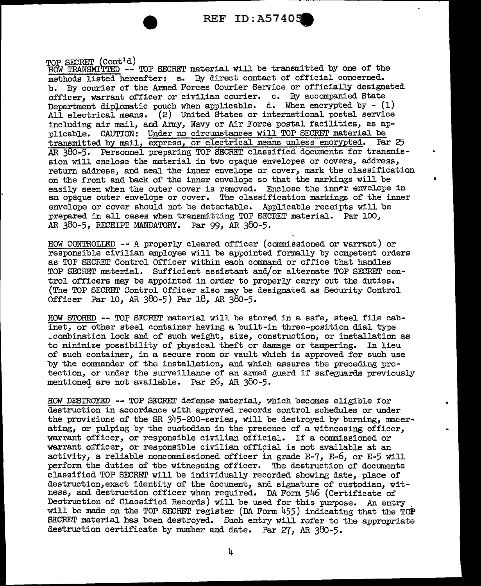TOP SECRET (Cont<sup>i</sup>d)<br>HOW TRANSMITTED -- TOP SECRET material will be transmitted by one of the methods listed hereafter: a. By direct contact of official concerned.<br>b. By courier of the Armed Forces Courier Service or officially design b. By courier of the Armed Forces Courier Service or officially designated officer, warrant officer or civilian courier. c. By accompanied State Department diplomatic pouch when applicable. d. When encrypted by  $-$  (1) All electrical means. (2) United States or international postal service including air mail, and Army, Navy or Air Force postal facilities, as applicable. CAUTION: Under no circumstances will TOP SECRET material be transmitted by mail, express, or electrical means unless encrypted. Par 25 AR 380-5. Personnel preparing TOP SECRET classified documents for transmission will enclose the material in two opaque envelopes or covers, address, return address, and seal the inner envelope or cover, mark the classification on the front and back of the inner envelope so that the markings will be easily seen when the outer cover is removed. Enclose the inner envelope in an opaque outer envelope or cover. The classification markings of the inner envelope or cover should not be detectable. Applicable receipts will be prepared in all cases when transmitting TOP SECRET material. Par 100, AR 380-5, RECEIPT MANDATORY. Par 99, AR 380-5.

•

HOW CONTROLIED -- A properly cleared officer (commissioned or warrant) or responsible civilian employee will be appointed formally by competent orders as TOP SECRET Control Officer within each command or office that handles TOP SECRET material. Sufficient assistant and/or alternate TOP SECRET control officers may be appointed in order to properly carry out the duties. (The TOP SECREr Control Officer also may be designated as Security Control Officer Par 10, AR 38o-5) Par 18, *AR* 38o-5.

HOW STORED -- TOP SECRET material will be stored in a safe, steel file cabinet, or other steel container having a built-in three-position dial type ~combination lock and of such weight, size, construction, or installation as to minimize possibility of physical theft or damage or tampering. In lieu of such container, in a secure room or vault which is approved for such use by the commander of the installation, and which assures the preceding protection, or under the surveillance of an armed guard if safeguards previously mentioned are not available. Par 26, AR 380-5.

HOW DESTROYED -- TOP SECREI' defense material, which becomes eligible for destruction in accordance with approved records control schedules or under the provisions of the SR 345-200-series, will be destroyed by burning, macerating, or pulping by the custodian in the presence of a witnessing officer, warrant officer, or responsible civilian official. If a commissioned or warrant officer, or responsible civilian official is not available at an activity, a reliable noncommissioned officer in srade E-7, E-6, or E-5 will perform the duties of the witnessing officer. The destruction of documents classified TOP SECRET will be individually recorded showing date, place of destruction, exact identity of the document, and signature of custodian, witness, and destruction officer when required. DA Form 546 (Certificate of Destruction of Classified Records) will be used for this purpose. An entry will be made on the TOP SECRET register (DA Form 455) indicating that the TOP SECRET material has been destroyed. Such entry will refer to the appropriate destruction certificate by number and date. Par 27, AR 380-5.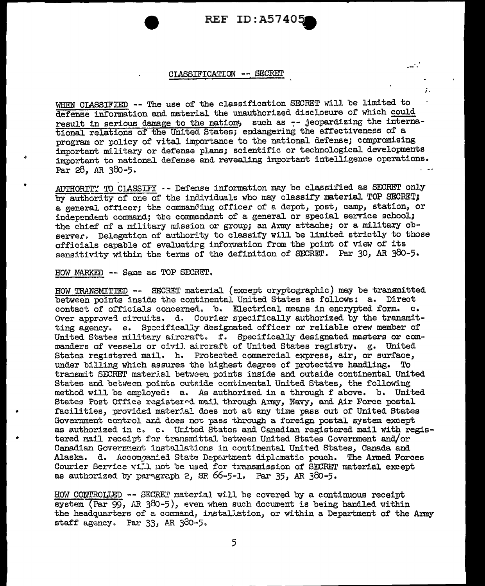أدامي

 $\mathbf{r}$ 

#### CLASSIFICATION -- SECRET

WHEN CIASSIFIED -- The use of the classification SECRET will be limited to defense information and material the unauthorized disclosure of which could result in serious damage to the nation, such as -- jeopardizing the international relations of the United States; endangering the effectiveness of a program or policy of vital importance to the national defense; compromising important military or defense plans; scientific or technological developments important to national defense and revealing important intelligence operations. Par 28, AR 380-5.

AUTHORITY TO CLASSIFY -- Defense information may be classified as SECRET only by authority of one of the individuals who may classify material TOP SECRET: a general officer; the commanding officer of a depot, post, camp, station, or independent command; the commandant of a general or special service school; the chief of a military mission or group; an Army attache; or a military observer. Delegation of authority to classify will be limited strictly to those officials capable of evaluating information from the point of view of its sensitivity within the terms of the definition of SECRET. Par 30, AR 380-5.

HOW MARKED -- Same as TOP SECRET.

HOW TRANSMITTED -- SECRET material (except cryptographic) may be transmitted between points inside the continental United States as follows: a. Direct contact of officials concerned. b. Electrical means in encrypted form. c. Over approved circuits. d. Courier specifically authorized by the transmitting agency. e. Specifically designated officer or reliable crew member of United States military aircraft. f. Specifically designated masters or commanders of vessels or civil aircraft of United States registry. g. United States registered mail. h. Protected commercial express, air, or surface, under billing which assures the highest degree of protective handling. To transmit SECRET material between points inside and outside continental United States and between points outside continental United States, the following method will be employed: a. As authorized in a through f above. b. United States Post Office registered mail through Army, Navy, and Air Force postal facilities, provided material does not at any time pass out of United States Government control and does not pass through a foreign postal system except as authorized in c. c. United States and Canadian registered mail with registered mail receipt for transmittal between United States Government and/or Canadian Government installations in continental United States, Canada and Alaska. d. Accompanied State Department diplomatic pouch. The Armed Forces Courier Service will not be used for transmission of SECRET material except as authorized by paragraph 2, SR  $66-5-1$ . Par  $35$ , AR  $380-5$ .

HOW CONTROLLED -- SECRET material will be covered by a continuous receipt system (Par 99, AR 380-5), even when such document is being handled within the headquarters of a command, installation, or within a Department of the Army staff agency. Par 33, AR 380-5.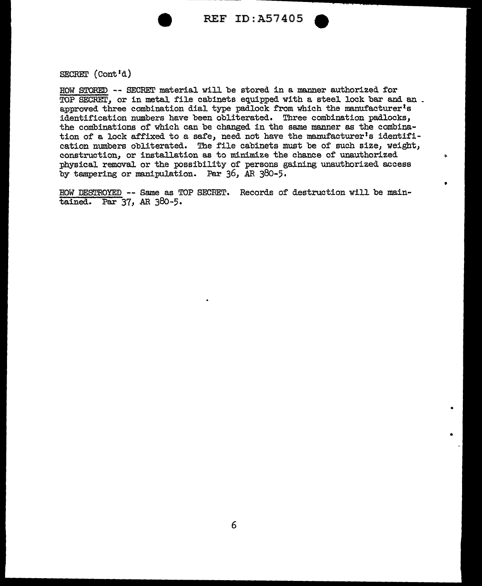

'

 $\mathbf{r}$ 

•

•

SECRET (Cont'd)

HOW STORED -- SECRET material will be stored in a manner authorized for TOP SECRET, or in metal file cabinets equipped with a steel lock bar and an . approved three combination dial type padlock from which the manufacturer's identification numbers have been obliterated. Three combination padlocks, the combinations of which can be changed in the same manner as the combination of a lock affixed to a safe, need not have the manufacturer's identification numbers obliterated. The file cabinets must be of such size, weight, construction, or installation as to minimize the chance of unauthorized physical removal or the possibility of persons gaining unauthorized access by tampering or manipulation. Par 36, *AR* 380-5.

HOW DESTROYED -- Same as TOP SECRET. Records of destruction will be maintained. Par 37, AR 38o-5.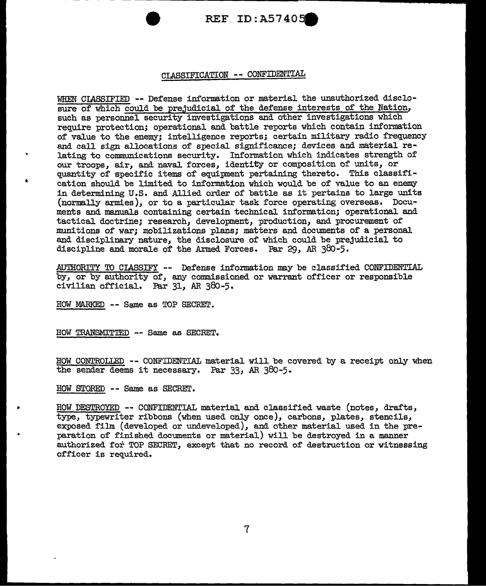

#### CLASSIFICATION -- CONFIDENTIAL

WHEN CIASSIFIED -- Defense information or material the unauthorized disclosure of which could be prejudicial of the defense interests of the Nation. such as personnel security investigations and other investigations which require protection; operational and battle reports which contain information of value to the enemy; intelligence reports; certain military radio frequency and call sign allocations of special significance; devices and material relating to communications security. Information which indicates strength of our troops, air, and naval forces, identity or composition of units, or quantity of specific items of equipment pertaining thereto. This classification should be limited to informat1on which would be of value to an enemy in determining U.S. and Allied order of battle as it pertains to large units (normally armies), or to a particular task force operating overseas. Documents and manuals containing certain technical information; operational and tactical doctrine; research, development, production, and procurement of munitions of war; mobilizations plans; matters and documents of a personal and disciplinary nature, the disclosure of which could be prejudicial to discipline and morale of the Armed Forces. Par 29, AR 38o-5.

AUTHORITY TO CIASSIFY -- Defense information may be classified CONFIDENTIAL by, or by authority of, any commissioned or warrant officer or responsible civilian official. Par 31, AR 38o-5.

HOW MARKED -- Same as TOP SECRET.

•

HOW TRANSMITTED -- Same as SECRET.

HOW CONTROILED -- CONFIDENTIAL material will be covered by a receipt only when the sender deems it necessary. Par 33, AR 380-5.

HOW STORED - - Same as SECREI'.

" HOW DESTROYED -- CONFIDENTIAL material and classified waste (notes, drafts, type, typewriter ribbons (when used only once), carbons, plates, stencils, exposed film (developed or undeveloped), and other material used in the preparation of finished documents or material) will be destroyed in a manner authorized for TOP SECRET, except that no record of destruction or witnessing officer is required.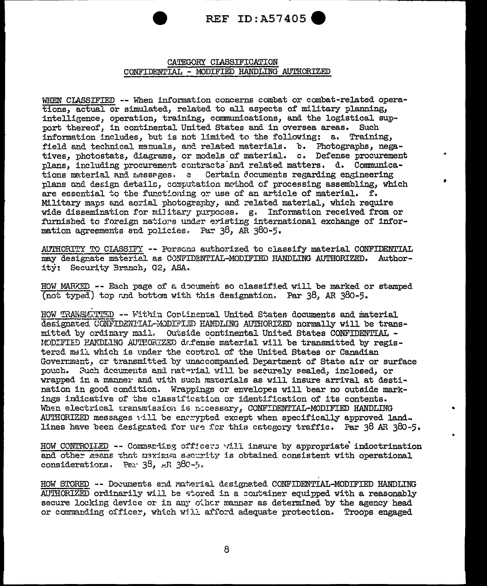

#### CATEGORY CLASSIFICATION CONFIDENTIAL - MODIFIED HANDLING AUTHORIZED

WHEN CLASSIFIED -- When information concerns combat or combat-related operations, actual or simulated, related to all aspects of military planning, intelligence, operation, training, communications, and the logistical support thereof, in continental United States and in oversea areas. Such information includes, but is not limited to the following: a. Training, field and technical manuals, and related materials. b. Photographs, negatives, photostats, diagrams, or models of material. c. Defense procurement plans, including procurement contracts and related matters. d. Communications material and messages. e Certain documents regarding engineering plans and design details, computation method of processing assembling, which are essential to the functioning or use of an article of material.  $f$ . Military maps and acrial photography, and related material, which require wide dissemination for military purposes. g. Information received from or furnished to foreign nations under eristing international exchange of information agreements and policies. Par 38, AR 380-5.

AUTHORITY TO CLASSIFY -- Persons authorized to classify material CONFIDENTIAL may designate material as CONFIDENTIAL-MODIFIED HANDLING AUTHORIZED. Authority: Security Branch, G2, ASA.

HOW MARKED -- Each page of a document so classified will be marked or stamped (not typed) top and bottom with this designation. Par 38, AR 380-5.

HOW TRANSMITTED -- Within Continental United States documents and material designated CONFIDENTIAL-MODIFIED HANDLING AUTHORIZED normally will be transmitted by ordinary mail. Outside continental United States CONFIDENTIAL -MODIFIED HANDLING AUTHORIZED defense material will be transmitted by registered mail which is under the control of the United States or Canadian Government, or transmitted by unaccompanied Department of State air or surface pouch. Such decurents and naterial will be securely sealed, inclosed, or wrapped in a manner and with such materials as will insure arrival at destination in good condition. Wrappings or envelopes will bear no outside markings indicative of the classification or identification of its contents. When electrical transmission is necessary, CONFIDENTIAL-MODIFIED HANDLING AUTHORIZED messages will be enerypted except when specifically approved land. lines have been designated for use for this category traffic. Par 38 AR 380-5.

HOW CONTROLLED -- Commerding officers will insure by appropriate indoctrination and other means that meximum security is obtained consistent with operational considerations. Par 38, AR 380-5.

HOW STORED -- Documents and material designated CONFIDENTIAL-MODIFIED HANDLING AUTHORIZED ordinarily will be stored in a container equipped with a reasonably secure locking device or in any other manner as determined by the agency head or commanding officer, which will afford adequate protection. Troops engaged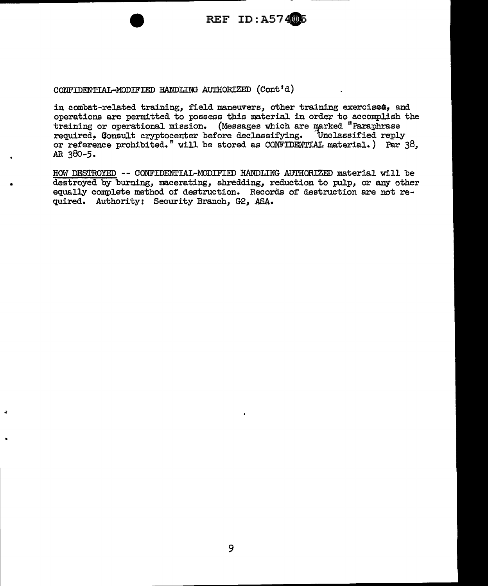

CONFIDENTIAL-MODIFIED HANDLING AUTHORIZED (Cont'd)

•

in combat-related training, f'ield maneuvers, other training exercise&, and operations are permitted to possess this material in orde~ to accomplish the training or operational mission. (Messages which are marked "Paraphrase required. Consult cryptocenter before declassifying. Unclassified reply required. Consult cryptocenter before declassifying. or reference prohibited." will be stored as CONFIDENTIAL material.) Par 38, AR 380-5.

HOW DESTROYED -- CONFIDENTIAL-MODIFIED HANDLING AUTHORIZED material will be destroyed by burning, macerating, shredding, reduction to pulp, or any other equally complete method of destruction. Records of destruction are not required. Authority: Security Branch, G2, ASA.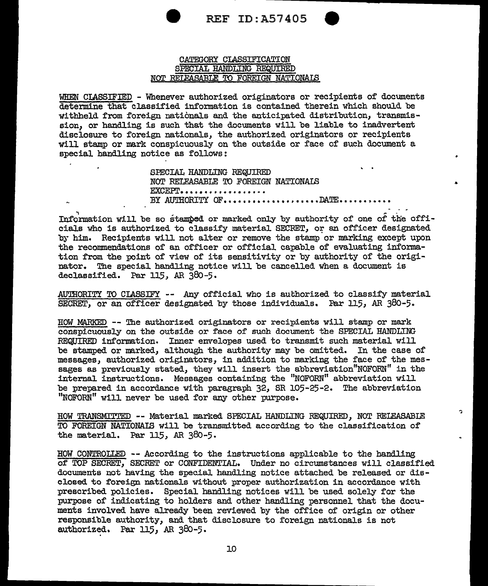

ò.

#### CATEGORY CLASSIFICATION SPECIAL HANDLING REQUIRED NQI' RELEASABLE TO FOREIGN NATIONAIS

WHEN CIASSIFIED - Whenever authorized originators or recipients of documents determine that classified information is contained therein which should be withheld from foreign nationals and the anticipated distribution, transmission, or handling is such that the documents will be liable to inadvertent disclosure to foreign nationals, the authorized originators or recipients will stamp or mark conspicuously on the outside or face of such document a special handling notice as follows:

> SPECIAL HANDLING REQUIRED NOT RELEASABLE ID FOREIGN NATIONAIS **EXCEPT.................** BY AUTHORITY OF.................DATE...........

, ~ - Information will be so stamped or marked only by authority of one of the officiaJ.s who is authorized to classify material SECRET, or an officer designated by him. Recipients will not alter or remove the stamp or marking except upon the recommendations of an officer or official capable of evaluating information from the point of view of its sensitivity or by authority of the originator. The special handling notice will be cancelled when a document is declassified. Par  $115$ , AR  $380-5$ .

AUTHORITY TO CIASSIFY -- Any official who is authorized to classify material SECRET, or an officer designated by those individuals. Par 115, AR 380-5.

HOW MARKED -- The authorized originators or recipients will stamp or mark conspicuously on the outside or face of such document the SPECIAL HANDLING REQUIRED information. Inner envelopes used to transmit such material will be stamped or marked, although the authority may be omitted. In the case of messages, authorized originators, in addition to marking the face of the messages as previously stated, they will insert the abbreviation"NOFORN" in the internal instructions. Messages containing the "NOFORN" abbreviation will be prepared in accordance with paragraph 32, SR 105-25-2. The abbreviation "NOFORN" will never be used for any other purpose.

HOW TRANSMITTED - - Material marked SPECIAL HANDLING REQUIRED, NOT BEIEASABIE TO FOREIGN NATIONAIB will be transmitted according to the classification of the material. Par  $115$ , AR  $380-5$ .

HOW CONTROLLED -- According to the instructions applicable to the hand.ling of TOP SECRET, SECRET or CONFIDENTIAL. Under no circumstances will classified documents not having the spec.ial handling notice attached be released or disclosed to foreign nationals without proper authorization in accordance with prescribed policies. Special band.ling notices will be used solely for the purpose of indicating to holders and other handling personnel that the documents involved have already been reviewed by the office of origin or other responsible authority, and that disclosure to foreign nationals is not authorized. Par  $115$ , AR  $380-5$ .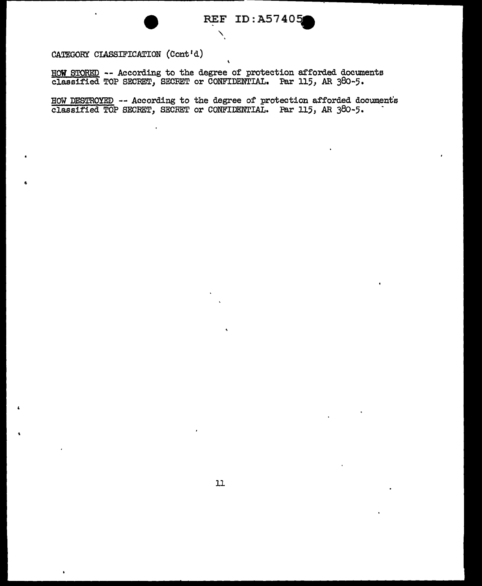CATEGORY CIASSIFICATION (Cont'd)

HOW STORED -- According to the degree of protection afforded documents classified TOP SECRET, SECRET or CONFIDENTIAL. Par 115, AR 38o-5.

'

HOW DESTROYED -- According to the degree of protection afforded documents classified TOP SECRET, SECRET or CONFIDENTIAL. Par 115, AR 380-5. -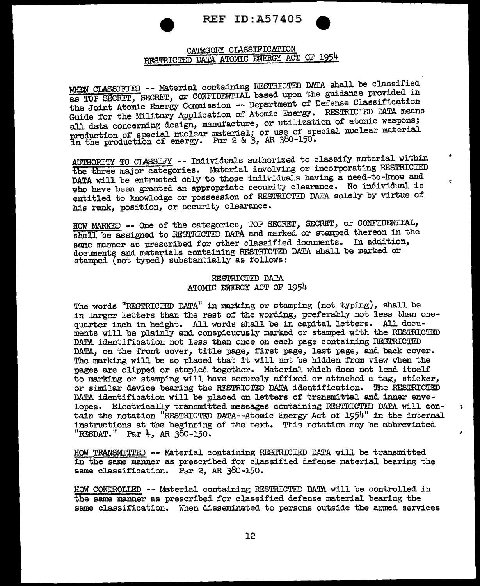



ŗ

ä.

#### CATEGORY CIASSIFICATION RESTRICTED DATA ATOMIC ENERGY ACT OF 1954

WHEN CLASSIFIED -- Material containing RESTRICTED DATA shall be classified as TOP SECRET, SECRET, or CONFIDENTIAL based upon the guidance provided in the Joint Atomic Energy Commission -- Department of Defense Classificati Guide for the Military Application of Atomic Energy. RESTRICTED DATA means all data concerning design, manufacture, or utilization of atomic weapons; production of special nuclear material; or use of special nuclear material production of special mateur masses 28 3, AR 380-150.

AUTHORITY TO CLASSIFY -- Individuals authorized to classii'y material within the three major categories. Material involving or incorporating RESTRICTED DATA will be entrusted only to those individuals having a need-to-know and who have been granted an appropriate security clearance. No individual is entitled to knowledge or possession of RESTRICTED DATA solely by virtue of his rank, position, or security clearance.

BOW MARKED -- One of the categories, TOP SECRET, SECRET, or CONFIDENTIAL, shall be assigned to RESTRICTED DATA and marked or stamped thereon in the same manner as prescribed for other classified documents. In addition, documents and materials containing RESTRICTED DATA shall be marked or stamped (not typed) substantially as follows:

#### RESTRICTED DATA ATOMIC ENERGY ACT OF 1954

The words "RESTRICTED DATA" in marking or stamping (not typing), shall be in larger letters than the rest of the wording, preferably not less than onequarter inch in height. All words shall. be in capital letters. AlJ. documents will be plainly and conspicuously marked or stamped with the RESTRICTED DATA identification not less than once on each page containing RESTRICTED DATA, on the front cover, title page, first page, last page, and back cover. The marking will be so placed that it will not be hidden from view when the pages are clipped or stapled together. Material which does not lend itself to marking or stamping will have securely affixed or attached a tag, sticker, or similar device bearing the RFSTRICTED DATA identification. The RESTRICTED DATA identification will be placed on letters of transmittal and inner envelopes. Electrically transmitted. messages containing RESTRICTED DATA will contain the notation "RESTRICTED DATA--Atomic Energy Act of 1954" in the internal instructions at the beginning of the text. This notation may be abbreviated "RESDAT." Par 4, AR 380-150.

HOW TRANSMITTED -- Material containing RESTRICTED DATA will be transmitted in the same manner as prescribed for classified defense material bearing the same classification. Par 2, AR 38o-150.

BOW CONTROLIED -- Material containing RESTRICTED DATA will be controlled in the same manner as prescribed for classified defense material bearing the same classification. When disseminated to persons outside the armed services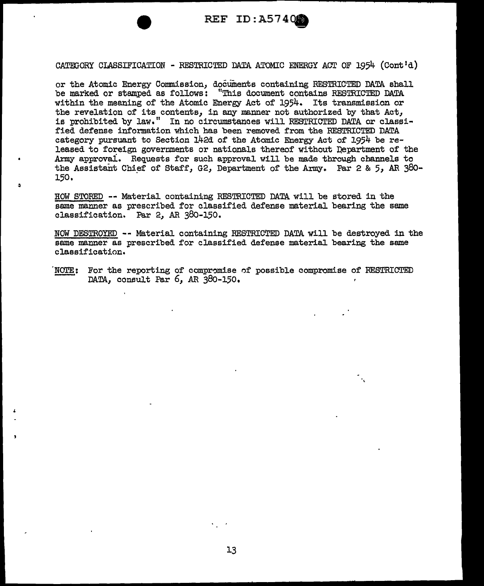

CATEGORY CLASSIFICATION - RESTRICTED DATA ATOMIC ENERGY ACT OF 1954 (Cont'd)

or the Atomic Energy Commission, documents containing RESTRICTED DATA shall be marked or stamped as follows: "This document contains RESTRICTED DATA within the meaning of the Atomic Energy Act of 1954. Its transmission or the revelation of its contents, in any manner not authorized by that Act, is prohibited by law." In no circumstanaes will RESTRICTED DATA or classified defense information which bas been removed from the RESTRICTED DATA category pursuant to Section 142d of the Atomic Energy Act of 1954 be released to foreign governments or nationals thereof without Department of the Army approvai. Requests for such approval Will be made through channels to the Assistant Chief of Staff, G2, Department of the Army. Par 2 & 5, AR  $380-$ 150.

HOW STORED -- Material containing RESTRICTED DATA will be stored in the same manner as prescribed for classified defense material bearing the same classification. Par 2, AR 380-150.

NOW DESTROYED - - Material containing RESTRICTED DATA will be destroyed in the same manner as prescribed for classified defense material bearing the same classification.

NOTE: For the reporting of compromise of possible compromise of RESTRICTED DATA, consult Par 6, AR 380-150,

·,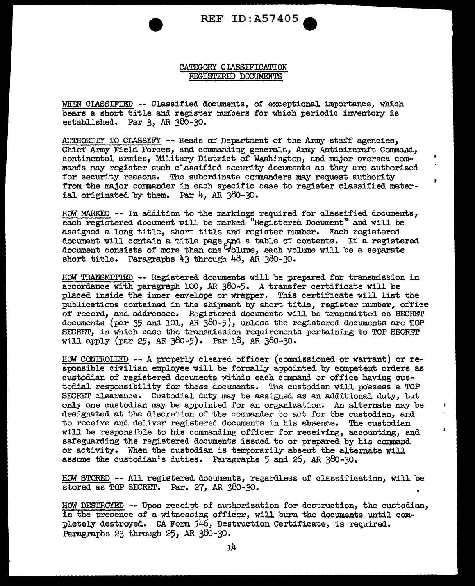

#### CATEGORY CIASSIFICATION REGISTERED DOCUMENTS

WHEN CLASSIFIED -- Classified documents, of exceptional importance, which bears a short title and register numbers for which periodic inventory is established. Par 3, AR 380-30.

AUTHORITY TO CLASSIFY -- Heads of Department of the Army staff agencies, Chief Army Field Forces, and commanding generals, Army Antiaircraft Command, continental armies, Military District of Washington, and major oversea commands may register such classified security documents as they are authorized for security reasons. The subordinate commanders may request authority from the major commander in each specific case to register classified material originated by them. Par  $4$ , AR 380-30.

Ł

 $\mathbf{r}$ 

HOW MARKED -- In addition to the markings required for classified documents, each registered document will be marked "Registered Document" and will be assigned a long title, short title and register number. Each registered document will contain a title page and a table of contents. If a registered document consists of more than one  $\forall$ blume, each volume will be a separate short title. Paragraphs  $43$  through  $48$ , AR 380-30.

HOW TRANSMITTED -- Registered documents will be prepared for transmission in accordance with paragraph 100, AR  $380-5$ . A transfer certificate will be placed inside the inner envelope or wrapper. This certificate will list the publications contained in the shipment by short title, register number, office of record, and addressee. Registered documents will be transmitted as SECRET documents (par 35 and 101, AR 380-5), unless the registered documents are TOP SECRET, in which case the transmission requirements pertaining to TOP SECRET Will apply (par 25, AR 380-5). Par 18, AR 380-30.

HOW CONTROLIED -- A properly cleared officer (commissioned or warrant) or responsible civilian employee will be formally appointed by competent orders as custodian of registered documents within each command or office having custodial responsibility for these documents. The custodian will possess a TOP SECRET clearance. Custodial duty may be assigned as an additional duty, but only one custodian may be appointed for an organization. An alternate may be designated at the discretion of the commander to act for the custodian, and to receive and deliver registered documents in his absence. The custodian will be responsible to his commanding officer for receiving, accounting, and safeguarding the registered documents issued to or prepared by his command or activity. When the custodian is temporarily absent the alternate will assume the custodian's duties. Paragraphs 5 and 26, AR 380-30.

HOW STORED -- All registered documents, regard.less of classification, will be stored as TOP SECRET. Par. 27, AR 380-30.

HOW DESTROYED -- Upon receipt of authorization for destruction, the custodian, in the presence of a witnessing officer, will burn the documents until completely destroyed. DA Form 546, Destruction Certificate, is required. Paragraphs 23 through 25, *AR* 38o-30.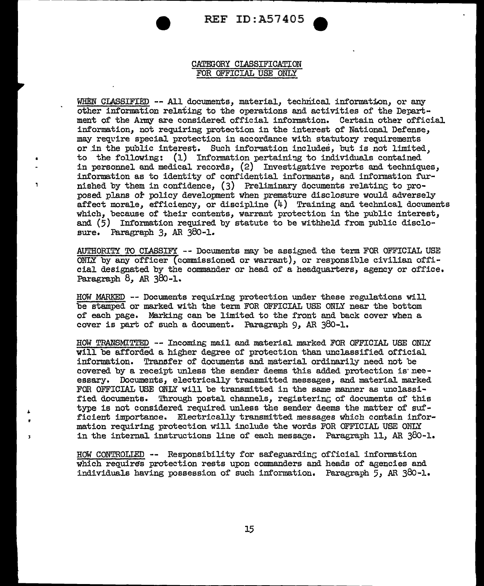

#### CATEGORY CLASSIFICATION FOR OFFICIAL USE ONLY

WHEN CLASSIFIED -- All documents, material, technical information, or any other information relating to the operations and activities of the Department of the Army are considered official information. Certain other official information, not requiring protection in the interest of National Defense, may require special protection in accordance with statutory requirements or in the public interest. Such information includes, but is not limited, to the following:  $(1)$  Information pertaining to individuals contained in personnel and medical records, (2) Investigative reports and techniques, information as to identity of confidential informants, and information furnished by them in confidence,  $(3)$  Preliminary documents relating to proposed plans or policy development When premature disclosure Would adversely affect morale, efficiency, or discipline (4) Training and technical documents which, because of their contents, warrant protection in the public interest, and (5) Information required by statute to be withheld from public disclosure. Paragraph 3, AR 380-1.

 $\mathbf{I}$ 

AUTHORITY TO CLASSIFY - - Documents may be assigned the term FOR OFFICIAL USE  $\overline{\text{OMLY}}$  by any officer (commissioned or warrant), or responsible civilian official designated by the commander or head of a headquarters, agency or office. Paragraph 8, *AR* 38o-1.

HOW MARKED -- Documents requiring protection under these regulations will be stamped or marked with the term FOR OFFICIAL USE ONLY near the bottom of each page. Marking can be limited to the front and back cover when a cover is part of such a document. Paragraph 9, AR 380-1.

HOW TRANSMITTED -- Incoming mail and material marked FOR OFFICIAL USE ONLY will be afforded a higher degree of protection than unclassified official information. Transfer of documents and material ordinarily need not be covered by a receipt unless the sender deems this added protection is neeessary. Documents, electrically transmitted messages, and material marked FOR OFFICIAL USE ONLY will be transmitted in the same manner as unclassified documents. Through postal channels, registerinG of documents of this type is not considered required unless the sender deems the matter of sufficient importance. Electrically transmitted messages which contain information requiring protection will include the words FOR OFFICIAL USE ONLY in the internal instructions line of each message. Paragraph 11, AR 380-1.

HOW CONTROLIED -- Responsibility for safeguarding official information which requires protection rests upon commanders and heads of agencies and individuals having possession of such information. Paragraph 5, *AR* 38o-1.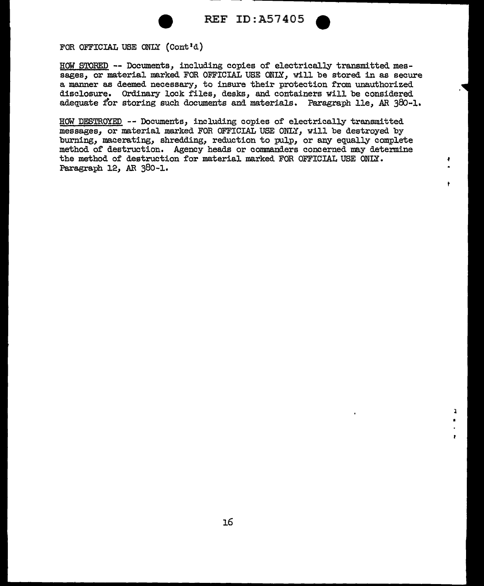



 $\mathbf{I}$ •

 $\mathbf{r}$ 

¢.

ŧ

FOR OFFICIAL USE ONLY (Cont'd)

HOW STORED -- Documents, including copies of electrically transmitted messages, or material marked FOR OFFICIAL USE ONLY, will be stored in as secure a manner as deemed necessary, to insure their protection from unauthorized disclosure. Ordinary lock files, desks, and containers will be considered adequate for storing such documents and materials. Paragraph lle, AR 380-1.

HOW DESTROYED -- Documents, including copies of electrically transmitted messages, or material marlted FOR OFFICIAL USE ONLY, will be destroyed by burning, macerating, shredding, reduction to pulp, or any equally complete method of destruction. Agency beads or commanders concerned may determine the method of destruction for material marked FOR OFFICIAL USE ONLY. Paragraph 12, AR 380-1.

16